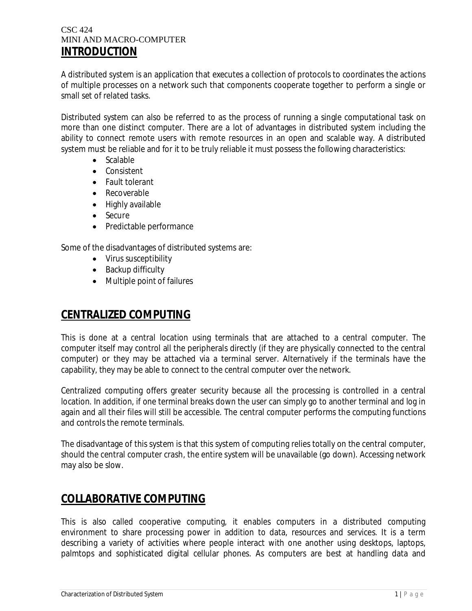#### CSC 424 MINI AND MACRO-COMPUTER **INTRODUCTION**

A distributed system is an application that executes a collection of protocols to coordinates the actions of multiple processes on a network such that components cooperate together to perform a single or small set of related tasks.

Distributed system can also be referred to as the process of running a single computational task on more than one distinct computer. There are a lot of advantages in distributed system including the ability to connect remote users with remote resources in an open and scalable way. A distributed system must be reliable and for it to be truly reliable it must possess the following characteristics:

- Scalable
- Consistent
- Fault tolerant
- Recoverable
- Highly available
- Secure
- Predictable performance

Some of the disadvantages of distributed systems are:

- Virus susceptibility
- Backup difficulty
- Multiple point of failures

### **CENTRALIZED COMPUTING**

This is done at a central location using terminals that are attached to a central computer. The computer itself may control all the peripherals directly (if they are physically connected to the central computer) or they may be attached via a terminal server. Alternatively if the terminals have the capability, they may be able to connect to the central computer over the network.

Centralized computing offers greater security because all the processing is controlled in a central location. In addition, if one terminal breaks down the user can simply go to another terminal and log in again and all their files will still be accessible. The central computer performs the computing functions and controls the remote terminals.

The disadvantage of this system is that this system of computing relies totally on the central computer, should the central computer crash, the entire system will be unavailable (go down). Accessing network may also be slow.

## **COLLABORATIVE COMPUTING**

This is also called cooperative computing, it enables computers in a distributed computing environment to share processing power in addition to data, resources and services. It is a term describing a variety of activities where people interact with one another using desktops, laptops, palmtops and sophisticated digital cellular phones. As computers are best at handling data and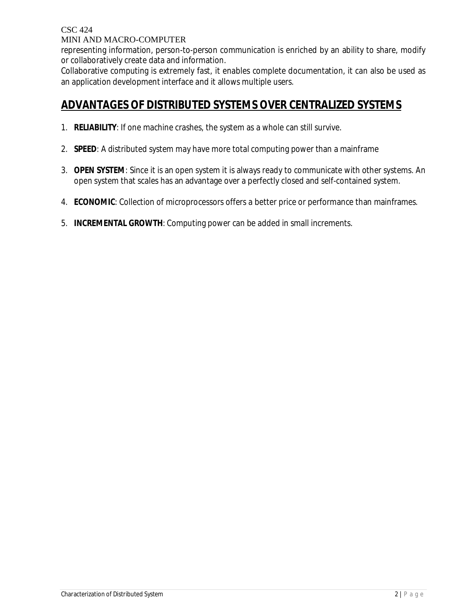CSC 424

MINI AND MACRO-COMPUTER

representing information, person-to-person communication is enriched by an ability to share, modify or collaboratively create data and information.

Collaborative computing is extremely fast, it enables complete documentation, it can also be used as an application development interface and it allows multiple users.

## **ADVANTAGES OF DISTRIBUTED SYSTEMS OVER CENTRALIZED SYSTEMS**

- 1. **RELIABILITY**: If one machine crashes, the system as a whole can still survive.
- 2. **SPEED**: A distributed system may have more total computing power than a mainframe
- 3. **OPEN SYSTEM**: Since it is an open system it is always ready to communicate with other systems. An open system that scales has an advantage over a perfectly closed and self-contained system.
- 4. **ECONOMIC**: Collection of microprocessors offers a better price or performance than mainframes.
- 5. **INCREMENTAL GROWTH**: Computing power can be added in small increments.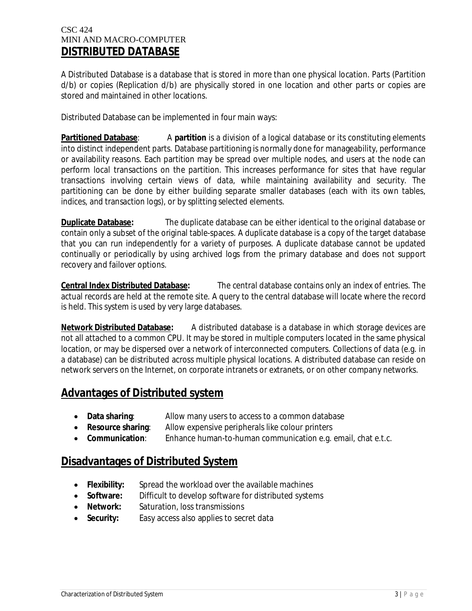#### CSC 424 MINI AND MACRO-COMPUTER **DISTRIBUTED DATABASE**

A Distributed Database is a database that is stored in more than one physical location. Parts (Partition d/b) or copies (Replication d/b) are physically stored in one location and other parts or copies are stored and maintained in other locations.

Distributed Database can be implemented in four main ways:

**Partitioned Database:** A partition is a division of a logical database or its constituting elements into distinct independent parts. Database partitioning is normally done for manageability, performance or availability reasons. Each partition may be spread over multiple nodes, and users at the node can perform local transactions on the partition. This increases performance for sites that have regular transactions involving certain views of data, while maintaining availability and security. The partitioning can be done by either building separate smaller databases (each with its own tables, indices, and transaction logs), or by splitting selected elements.

**Duplicate Database:** The duplicate database can be either identical to the original database or contain only a subset of the original table-spaces. A duplicate database is a copy of the target database that you can run independently for a variety of purposes. A duplicate database cannot be updated continually or periodically by using archived logs from the primary database and does not support recovery and failover options.

**Central Index Distributed Database:** The central database contains only an index of entries. The actual records are held at the remote site. A query to the central database will locate where the record is held. This system is used by very large databases.

**Network Distributed Database:** A distributed database is a database in which storage devices are not all attached to a common CPU. It may be stored in multiple computers located in the same physical location, or may be dispersed over a network of interconnected computers. Collections of data (e.g. in a database) can be distributed across multiple physical locations. A distributed database can reside on network servers on the Internet, on corporate intranets or extranets, or on other company networks.

## **Advantages of Distributed system**

- **Data sharing:** Allow many users to access to a common database
- **Resource sharing**: Allow expensive peripherals like colour printers
- **Communication**: Enhance human-to-human communication e.g. email, chat e.t.c.

### **Disadvantages of Distributed System**

- **Flexibility:** Spread the workload over the available machines
- **Software:** Difficult to develop software for distributed systems
- **Network:** Saturation, loss transmissions
- **Security:** Easy access also applies to secret data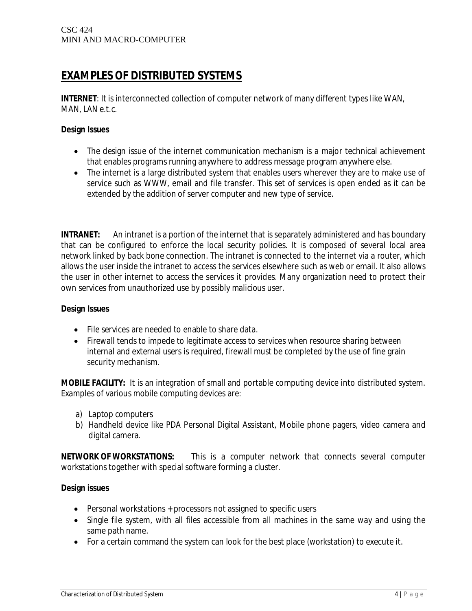# **EXAMPLES OF DISTRIBUTED SYSTEMS**

**INTERNET**: It is interconnected collection of computer network of many different types like WAN, MAN, LAN e.t.c.

#### **Design Issues**

- The design issue of the internet communication mechanism is a major technical achievement that enables programs running anywhere to address message program anywhere else.
- The internet is a large distributed system that enables users wherever they are to make use of service such as WWW, email and file transfer. This set of services is open ended as it can be extended by the addition of server computer and new type of service.

**INTRANET:** An intranet is a portion of the internet that is separately administered and has boundary that can be configured to enforce the local security policies. It is composed of several local area network linked by back bone connection. The intranet is connected to the internet via a router, which allows the user inside the intranet to access the services elsewhere such as web or email. It also allows the user in other internet to access the services it provides. Many organization need to protect their own services from unauthorized use by possibly malicious user.

#### **Design Issues**

- File services are needed to enable to share data.
- Firewall tends to impede to legitimate access to services when resource sharing between internal and external users is required, firewall must be completed by the use of fine grain security mechanism.

**MOBILE FACILITY:** It is an integration of small and portable computing device into distributed system. Examples of various mobile computing devices are:

- a) Laptop computers
- b) Handheld device like PDA Personal Digital Assistant, Mobile phone pagers, video camera and digital camera.

**NETWORK OF WORKSTATIONS:** This is a computer network that connects several computer workstations together with special software forming a cluster.

#### **Design issues**

- Personal workstations + processors not assigned to specific users
- Single file system, with all files accessible from all machines in the same way and using the same path name.
- For a certain command the system can look for the best place (workstation) to execute it.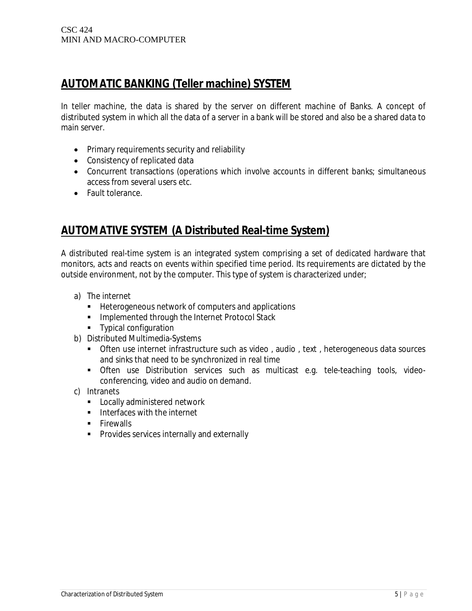# **AUTOMATIC BANKING (Teller machine) SYSTEM**

In teller machine, the data is shared by the server on different machine of Banks. A concept of distributed system in which all the data of a server in a bank will be stored and also be a shared data to main server.

- Primary requirements security and reliability
- Consistency of replicated data
- Concurrent transactions (operations which involve accounts in different banks; simultaneous access from several users etc.
- Fault tolerance.

# **AUTOMATIVE SYSTEM (A Distributed Real-time System)**

A distributed real-time system is an integrated system comprising a set of dedicated hardware that monitors, acts and reacts on events within specified time period. Its requirements are dictated by the outside environment, not by the computer. This type of system is characterized under;

- a) The internet
	- **Heterogeneous network of computers and applications**
	- **Implemented through the Internet Protocol Stack**
	- **Typical configuration**
- b) Distributed Multimedia-Systems
	- Often use internet infrastructure such as video , audio , text , heterogeneous data sources and sinks that need to be synchronized in real time
	- Often use Distribution services such as multicast e.g. tele-teaching tools, videoconferencing, video and audio on demand.
- c) Intranets
	- **EXEC** Locally administered network
	- **Interfaces with the internet**
	- **Firewalls**
	- **Provides services internally and externally**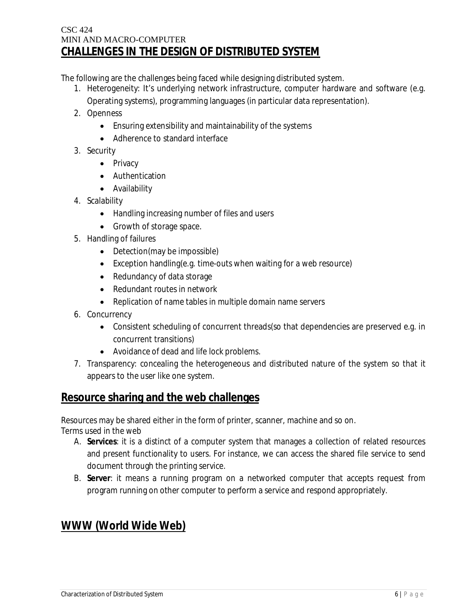#### CSC 424 MINI AND MACRO-COMPUTER **CHALLENGES IN THE DESIGN OF DISTRIBUTED SYSTEM**

The following are the challenges being faced while designing distributed system.

1. Heterogeneity: It's underlying network infrastructure, computer hardware and software (e.g.

Operating systems), programming languages (in particular data representation).

- 2. Openness
	- Ensuring extensibility and maintainability of the systems
	- Adherence to standard interface
- 3. Security
	- Privacy
	- Authentication
	- Availability
- 4. Scalability
	- Handling increasing number of files and users
	- Growth of storage space.
- 5. Handling of failures
	- Detection(may be impossible)
	- Exception handling(e.g. time-outs when waiting for a web resource)
	- Redundancy of data storage
	- Redundant routes in network
	- Replication of name tables in multiple domain name servers
- 6. Concurrency
	- Consistent scheduling of concurrent threads(so that dependencies are preserved e.g. in concurrent transitions)
	- Avoidance of dead and life lock problems.
- 7. Transparency: concealing the heterogeneous and distributed nature of the system so that it appears to the user like one system.

### **Resource sharing and the web challenges**

Resources may be shared either in the form of printer, scanner, machine and so on. Terms used in the web

- A. **Services**: it is a distinct of a computer system that manages a collection of related resources and present functionality to users. For instance, we can access the shared file service to send document through the printing service.
- B. **Server**: it means a running program on a networked computer that accepts request from program running on other computer to perform a service and respond appropriately.

# **WWW (World Wide Web)**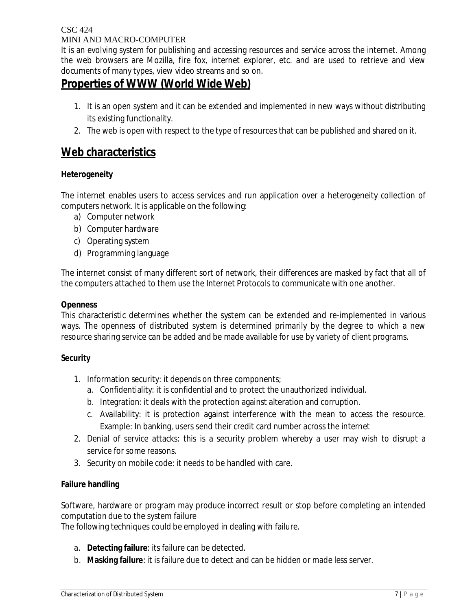#### CSC 424 MINI AND MACRO-COMPUTER

It is an evolving system for publishing and accessing resources and service across the internet. Among the web browsers are Mozilla, fire fox, internet explorer, etc. and are used to retrieve and view documents of many types, view video streams and so on.

# **Properties of WWW (World Wide Web)**

- 1. It is an open system and it can be extended and implemented in new ways without distributing its existing functionality.
- 2. The web is open with respect to the type of resources that can be published and shared on it.

### **Web characteristics**

#### **Heterogeneity**

The internet enables users to access services and run application over a heterogeneity collection of computers network. It is applicable on the following:

- a) Computer network
- b) Computer hardware
- c) Operating system
- d) Programming language

The internet consist of many different sort of network, their differences are masked by fact that all of the computers attached to them use the Internet Protocols to communicate with one another.

#### **Openness**

This characteristic determines whether the system can be extended and re-implemented in various ways. The openness of distributed system is determined primarily by the degree to which a new resource sharing service can be added and be made available for use by variety of client programs.

#### **Security**

- 1. Information security: it depends on three components;
	- a. Confidentiality: it is confidential and to protect the unauthorized individual.
	- b. Integration: it deals with the protection against alteration and corruption.
	- c. Availability: it is protection against interference with the mean to access the resource. Example: In banking, users send their credit card number across the internet
- 2. Denial of service attacks: this is a security problem whereby a user may wish to disrupt a service for some reasons.
- 3. Security on mobile code: it needs to be handled with care.

#### **Failure handling**

Software, hardware or program may produce incorrect result or stop before completing an intended computation due to the system failure

The following techniques could be employed in dealing with failure.

- a. **Detecting failure**: its failure can be detected.
- b. **Masking failure**: it is failure due to detect and can be hidden or made less server.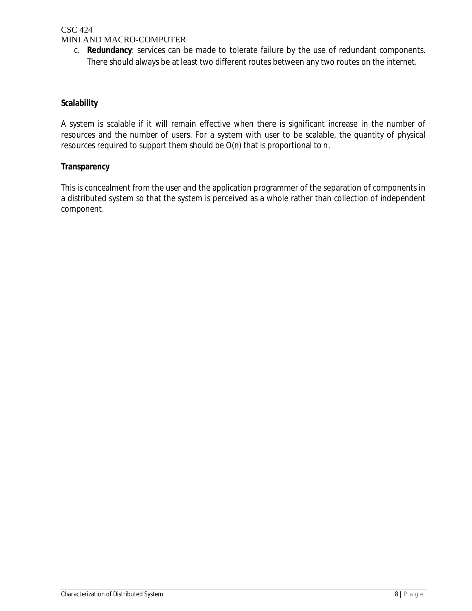#### CSC 424 MINI AND MACRO-COMPUTER

c. **Redundancy**: services can be made to tolerate failure by the use of redundant components. There should always be at least two different routes between any two routes on the internet.

#### **Scalability**

A system is scalable if it will remain effective when there is significant increase in the number of resources and the number of users. For a system with user to be scalable, the quantity of physical resources required to support them should be O(n) that is proportional to n.

#### **Transparency**

This is concealment from the user and the application programmer of the separation of components in a distributed system so that the system is perceived as a whole rather than collection of independent component.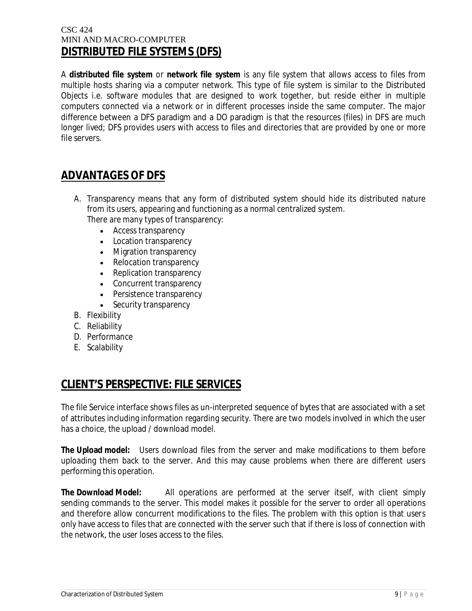#### CSC 424 MINI AND MACRO-COMPUTER **DISTRIBUTED FILE SYSTEMS (DFS)**

A **distributed file system** or **network file system** is any file system that allows access to files from multiple hosts sharing via a computer network. This type of file system is similar to the Distributed Objects i.e. software modules that are designed to work together, but reside either in multiple computers connected via a network or in different processes inside the same computer. The major difference between a DFS paradigm and a DO paradigm is that the resources (files) in DFS are much longer lived; DFS provides users with access to files and directories that are provided by one or more file servers.

# **ADVANTAGES OF DFS**

- A. Transparency means that any form of distributed system should hide its distributed nature from its users, appearing and functioning as a normal centralized system. There are many types of transparency:
	- Access transparency
	- Location transparency
	- Migration transparency
	- Relocation transparency
	- Replication transparency
	- Concurrent transparency
	- Persistence transparency
	- Security transparency
- B. Flexibility
- C. Reliability
- D. Performance
- E. Scalability

## **CLIENT'S PERSPECTIVE: FILE SERVICES**

The file Service interface shows files as un-interpreted sequence of bytes that are associated with a set of attributes including information regarding security. There are two models involved in which the user has a choice, the upload / download model.

**The Upload model:** Users download files from the server and make modifications to them before uploading them back to the server. And this may cause problems when there are different users performing this operation.

**The Download Model:** All operations are performed at the server itself, with client simply sending commands to the server. This model makes it possible for the server to order all operations and therefore allow concurrent modifications to the files. The problem with this option is that users only have access to files that are connected with the server such that if there is loss of connection with the network, the user loses access to the files.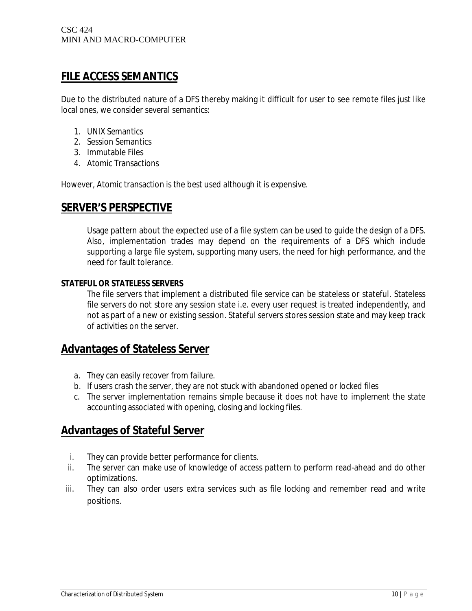## **FILE ACCESS SEMANTICS**

Due to the distributed nature of a DFS thereby making it difficult for user to see remote files just like local ones, we consider several semantics:

- 1. UNIX Semantics
- 2. Session Semantics
- 3. Immutable Files
- 4. Atomic Transactions

However, Atomic transaction is the best used although it is expensive.

### **SERVER'S PERSPECTIVE**

Usage pattern about the expected use of a file system can be used to guide the design of a DFS. Also, implementation trades may depend on the requirements of a DFS which include supporting a large file system, supporting many users, the need for high performance, and the need for fault tolerance.

#### **STATEFUL OR STATELESS SERVERS**

The file servers that implement a distributed file service can be stateless or stateful. Stateless file servers do not store any session state i.e. every user request is treated independently, and not as part of a new or existing session. Stateful servers stores session state and may keep track of activities on the server.

### **Advantages of Stateless Server**

- a. They can easily recover from failure.
- b. If users crash the server, they are not stuck with abandoned opened or locked files
- c. The server implementation remains simple because it does not have to implement the state accounting associated with opening, closing and locking files.

## **Advantages of Stateful Server**

- i. They can provide better performance for clients.
- ii. The server can make use of knowledge of access pattern to perform read-ahead and do other optimizations.
- iii. They can also order users extra services such as file locking and remember read and write positions.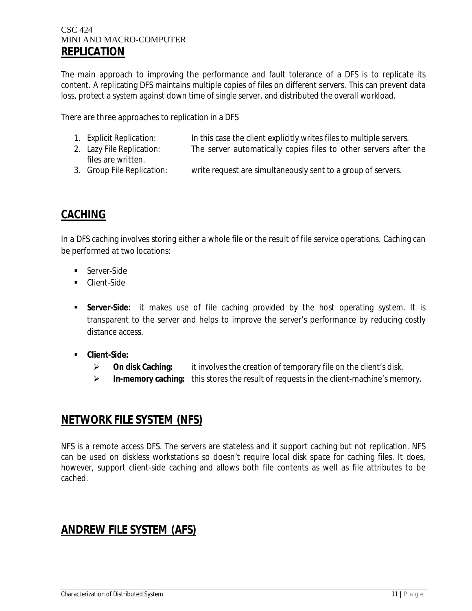#### CSC 424 MINI AND MACRO-COMPUTER **REPLICATION**

The main approach to improving the performance and fault tolerance of a DFS is to replicate its content. A replicating DFS maintains multiple copies of files on different servers. This can prevent data loss, protect a system against down time of single server, and distributed the overall workload.

There are three approaches to replication in a DFS

- 1. Explicit Replication: In this case the client explicitly writes files to multiple servers.
- 2. Lazy File Replication: The server automatically copies files to other servers after the files are written.
- 3. Group File Replication: write request are simultaneously sent to a group of servers.

## **CACHING**

In a DFS caching involves storing either a whole file or the result of file service operations. Caching can be performed at two locations:

- **Server-Side**
- **Client-Side**
- **Server-Side:** it makes use of file caching provided by the host operating system. It is transparent to the server and helps to improve the server's performance by reducing costly distance access.
- **Client-Side:**
	- **On disk Caching:** it involves the creation of temporary file on the client's disk.
	- **In-memory caching:** this stores the result of requests in the client-machine's memory.

### **NETWORK FILE SYSTEM (NFS)**

NFS is a remote access DFS. The servers are stateless and it support caching but not replication. NFS can be used on diskless workstations so doesn't require local disk space for caching files. It does, however, support client-side caching and allows both file contents as well as file attributes to be cached.

## **ANDREW FILE SYSTEM (AFS)**